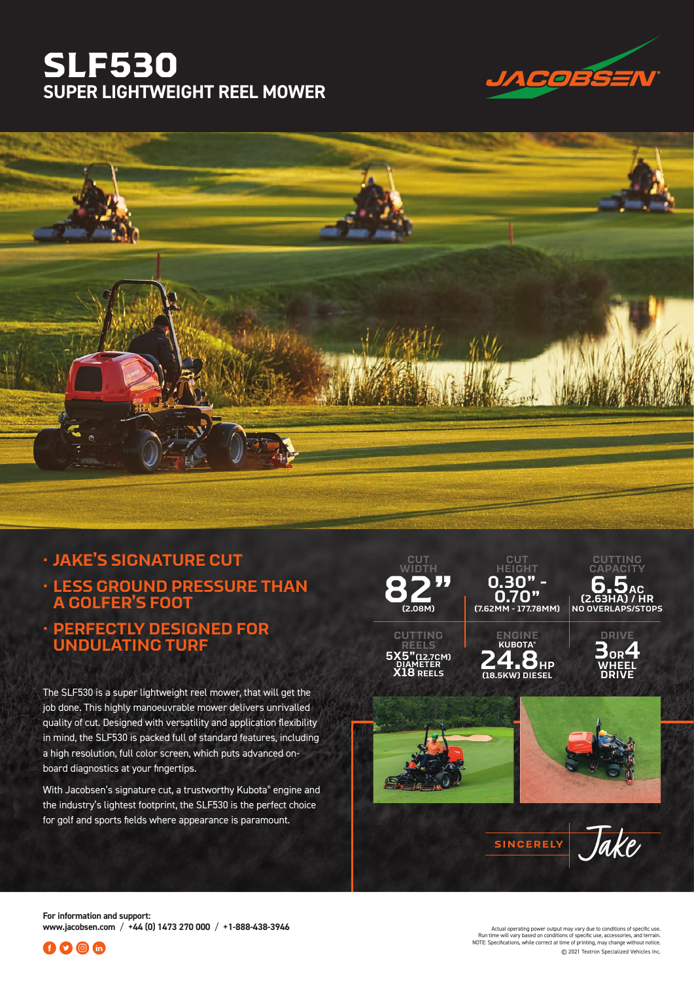## **SLF530 SUPER LIGHTWEIGHT REEL MOWER**





## **· JAKE'S SIGNATURE CUT**

**· LESS GROUND PRESSURE THAN A GOLFER'S FOOT**

## **· PERFECTLY DESIGNED FOR UNDULATING TURF**

The SLF530 is a super lightweight reel mower, that will get the job done. This highly manoeuvrable mower delivers unrivalled quality of cut. Designed with versatility and application flexibility in mind, the SLF530 is packed full of standard features, including a high resolution, full color screen, which puts advanced onboard diagnostics at your fingertips.

With Jacobsen's signature cut, a trustworthy Kubota® engine and the industry's lightest footprint, the SLF530 is the perfect choice for golf and sports fields where appearance is paramount.



**For information and support: www.jacobsen.com** / **+44 (0) 1473 270 000** / **+1-888-438-3946**



© 2021 Textron Specialized Vehicles Inc. . Actual operating power output may vary due to conditions of specific use.<br>Run time will vary based on conditions of specific use, accessories, and terrain.<br>NOTE: Specifications, while correct at time of printing, may cha